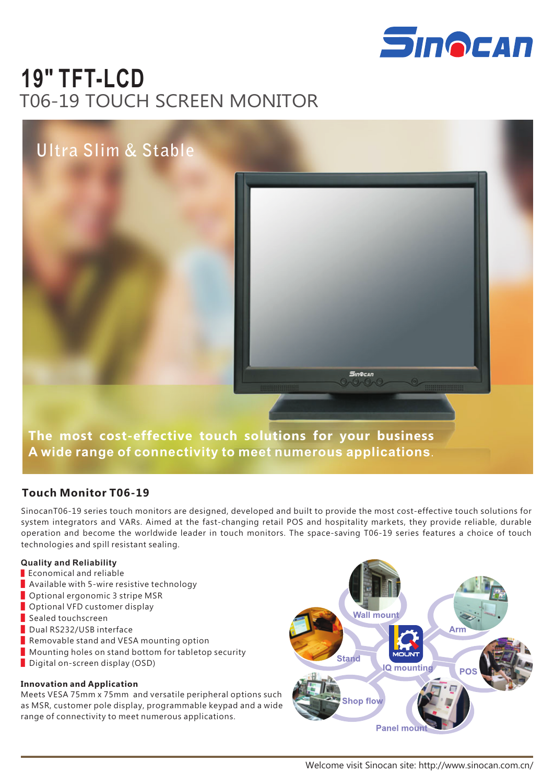

# **19" TFT-LCD** T06-19 TOUCH SCREEN MONITOR

# **Ultra Slim & Stable**



**The most cost-effective touch solutions for your business A wide range of connectivity to meet numerous applications**.

#### **Touch Monitor T06-19**

SinocanT06-19 series touch monitors are designed, developed and built to provide the most cost-effective touch solutions for system integrators and VARs. Aimed at the fast-changing retail POS and hospitality markets, they provide reliable, durable operation and become the worldwide leader in touch monitors. The space-saving T06-19 series features a choice of touch technologies and spill resistant sealing.

#### **Quality and Reliability**

- Economical and reliable
- Available with 5-wire resistive technology
- Optional ergonomic 3 stripe MSR
- Optional VFD customer display
- Sealed touchscreen
- Dual RS232/USB interface
- Removable stand and VESA mounting option
- Mounting holes on stand bottom for tabletop security
- Digital on-screen display (OSD)

#### **Innovation and Application**

Meets VESA 75mm x 75mm and versatile peripheral options such as MSR, customer pole display, programmable keypad and a wide range of connectivity to meet numerous applications.



Sin©can